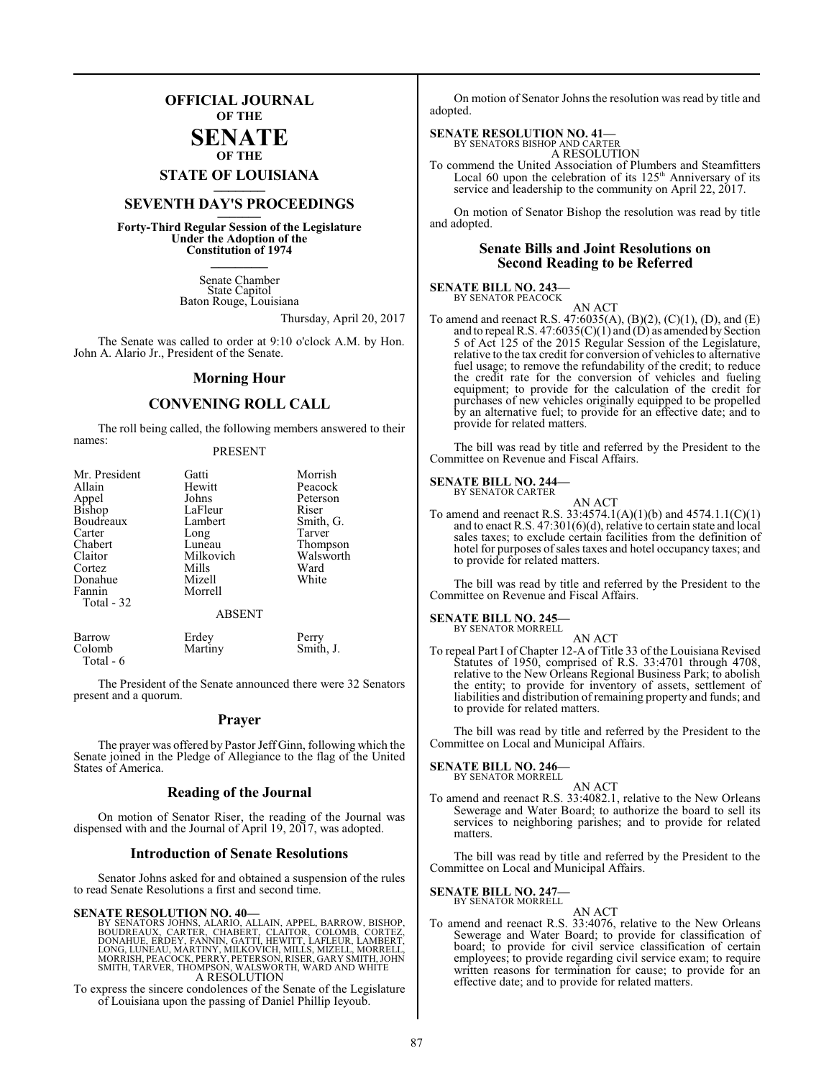# **OFFICIAL JOURNAL OF THE**

# **SENATE OF THE**

# **STATE OF LOUISIANA \_\_\_\_\_\_\_**

# **SEVENTH DAY'S PROCEEDINGS \_\_\_\_\_\_\_**

**Forty-Third Regular Session of the Legislature Under the Adoption of the Constitution of 1974 \_\_\_\_\_\_\_**

> Senate Chamber State Capitol Baton Rouge, Louisiana

> > Thursday, April 20, 2017

The Senate was called to order at 9:10 o'clock A.M. by Hon. John A. Alario Jr., President of the Senate.

# **Morning Hour**

# **CONVENING ROLL CALL**

The roll being called, the following members answered to their names:

# PRESENT

| Mr. President | Gatti             | Morrish   |
|---------------|-------------------|-----------|
| Allain        | Hewitt<br>Peacock |           |
| Appel         | Johns             | Peterson  |
| Bishop        | LaFleur           | Riser     |
| Boudreaux     | Lambert           | Smith, G. |
| Carter        | Long              | Tarver    |
| Chabert       | Luneau            | Thompson  |
| Claitor       | Milkovich         | Walsworth |
| Cortez        | Mills             | Ward      |
| Donahue       | Mizell            | White     |
| Fannin        | Morrell           |           |
| Total - 32    |                   |           |
|               | <b>ABSENT</b>     |           |
| Barrow        | Erdey             | Perry     |
| Colomb        | Martiny           | Smith. J. |

The President of the Senate announced there were 32 Senators present and a quorum.

# **Prayer**

The prayer was offered by Pastor Jeff Ginn, following which the Senate joined in the Pledge of Allegiance to the flag of the United States of America.

# **Reading of the Journal**

On motion of Senator Riser, the reading of the Journal was dispensed with and the Journal of April 19, 2017, was adopted.

# **Introduction of Senate Resolutions**

Senator Johns asked for and obtained a suspension of the rules to read Senate Resolutions a first and second time.

### **SENATE RESOLUTION NO. 40—**

Total - 6

BY SENATORS JOHNS, ALARIO, ALLAIN, APPEL, BARROW, BISHOP,<br>BOUDREAUX, CARTER, CHABERT, CLAITOR, COLOMB, CORTEZ,<br>DONAHUE, ERDEY, FANNIN, GATTI, HEWITT, LAFLEUR, LAMBERT,<br>LONG, LUNEAU, MARTINY, MILKOVICH, MILLS, MIZELL, MORRE A RESOLUTION

To express the sincere condolences of the Senate of the Legislature of Louisiana upon the passing of Daniel Phillip Ieyoub.

On motion of Senator Johns the resolution was read by title and adopted.

# **SENATE RESOLUTION NO. 41—** BY SENATORS BISHOP AND CARTER

A RESOLUTION

To commend the United Association of Plumbers and Steamfitters Local 60 upon the celebration of its 125<sup>th</sup> Anniversary of its service and leadership to the community on April 22, 2017.

On motion of Senator Bishop the resolution was read by title and adopted.

# **Senate Bills and Joint Resolutions on Second Reading to be Referred**

### **SENATE BILL NO. 243—** BY SENATOR PEACOCK

AN ACT

To amend and reenact R.S. 47:6035(A), (B)(2), (C)(1), (D), and (E) and to repeal R.S. 47:6035(C)(1) and (D) as amended by Section 5 of Act 125 of the 2015 Regular Session of the Legislature, relative to the tax credit for conversion of vehicles to alternative fuel usage; to remove the refundability of the credit; to reduce the credit rate for the conversion of vehicles and fueling equipment; to provide for the calculation of the credit for purchases of new vehicles originally equipped to be propelled by an alternative fuel; to provide for an effective date; and to provide for related matters.

The bill was read by title and referred by the President to the Committee on Revenue and Fiscal Affairs.

### **SENATE BILL NO. 244—** BY SENATOR CARTER

| AN ACT |
|--------|
|        |

To amend and reenact R.S. 33:4574.1(A)(1)(b) and 4574.1.1(C)(1) and to enact R.S. 47:301(6)(d), relative to certain state and local sales taxes; to exclude certain facilities from the definition of hotel for purposes of sales taxes and hotel occupancy taxes; and to provide for related matters.

The bill was read by title and referred by the President to the Committee on Revenue and Fiscal Affairs.

### **SENATE BILL NO. 245—** BY SENATOR MORRELL

AN ACT

To repeal Part I of Chapter 12-A of Title 33 of the Louisiana Revised Statutes of 1950, comprised of R.S. 33:4701 through 4708, relative to the New Orleans Regional Business Park; to abolish the entity; to provide for inventory of assets, settlement of liabilities and distribution of remaining property and funds; and to provide for related matters.

The bill was read by title and referred by the President to the Committee on Local and Municipal Affairs.

## **SENATE BILL NO. 246—**

BY SENATOR MORRELL AN ACT

To amend and reenact R.S. 33:4082.1, relative to the New Orleans Sewerage and Water Board; to authorize the board to sell its services to neighboring parishes; and to provide for related matters.

The bill was read by title and referred by the President to the Committee on Local and Municipal Affairs.

# **SENATE BILL NO. 247—**

BY SENATOR MORRELL AN ACT

To amend and reenact R.S. 33:4076, relative to the New Orleans Sewerage and Water Board; to provide for classification of board; to provide for civil service classification of certain employees; to provide regarding civil service exam; to require written reasons for termination for cause; to provide for an effective date; and to provide for related matters.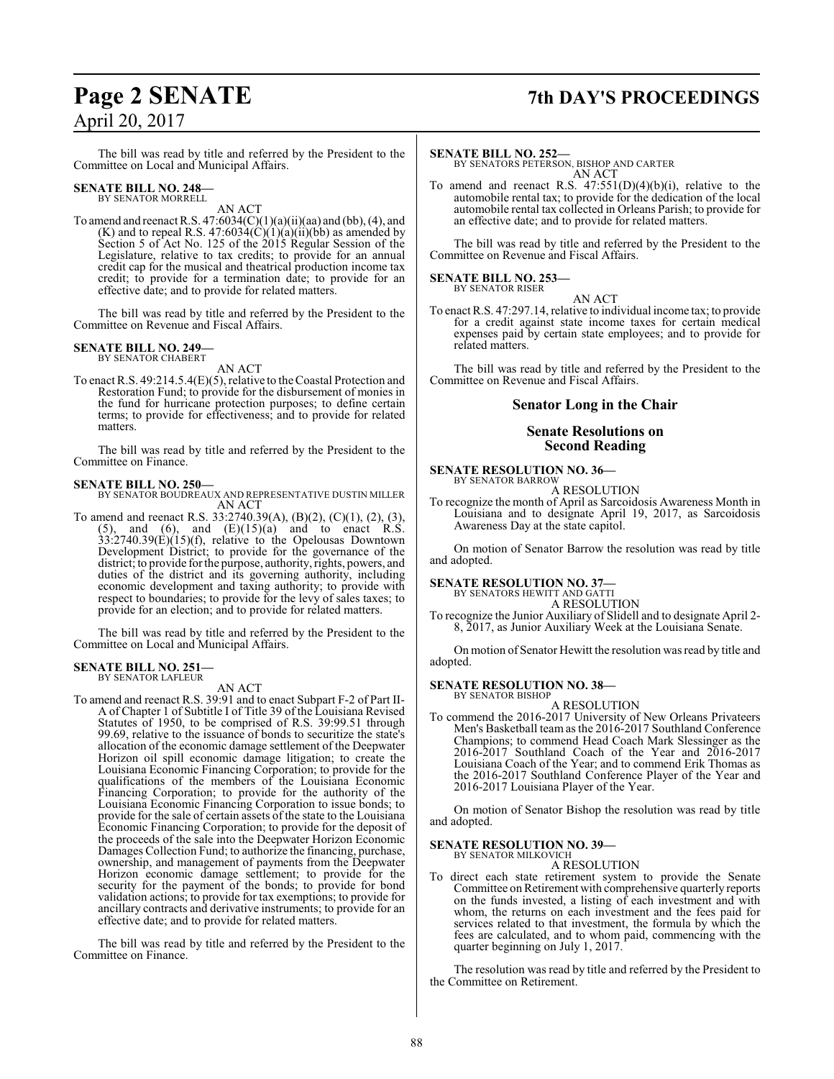# **Page 2 SENATE 7th DAY'S PROCEEDINGS**

The bill was read by title and referred by the President to the Committee on Local and Municipal Affairs.

### **SENATE BILL NO. 248—** BY SENATOR MORRELL

AN ACT

To amend and reenact R.S.  $47:6034(C)(1)(a)(ii)(aa)$  and (bb), (4), and  $(K)$  and to repeal R.S. 47:6034 $(C)(1)(a)(ii)(bb)$  as amended by Section 5 of Act No. 125 of the 2015 Regular Session of the Legislature, relative to tax credits; to provide for an annual credit cap for the musical and theatrical production income tax credit; to provide for a termination date; to provide for an effective date; and to provide for related matters.

The bill was read by title and referred by the President to the Committee on Revenue and Fiscal Affairs.

# **SENATE BILL NO. 249—**

BY SENATOR CHABERT AN ACT

To enact R.S. 49:214.5.4(E)(5), relative to theCoastal Protection and Restoration Fund; to provide for the disbursement of monies in the fund for hurricane protection purposes; to define certain terms; to provide for effectiveness; and to provide for related matters.

The bill was read by title and referred by the President to the Committee on Finance.

### **SENATE BILL NO. 250—**

BY SENATOR BOUDREAUX AND REPRESENTATIVE DUSTIN MILLER AN ACT

To amend and reenact R.S. 33:2740.39(A), (B)(2), (C)(1), (2), (3),  $(5)$ , and  $(6)$ , and  $(E)(15)(a)$  and to enact R.S. 33:2740.39(E)(15)(f), relative to the Opelousas Downtown Development District; to provide for the governance of the district; to provide for the purpose, authority, rights, powers, and duties of the district and its governing authority, including economic development and taxing authority; to provide with respect to boundaries; to provide for the levy of sales taxes; to provide for an election; and to provide for related matters.

The bill was read by title and referred by the President to the Committee on Local and Municipal Affairs.

# **SENATE BILL NO. 251—**

BY SENATOR LAFLEUR

AN ACT

To amend and reenact R.S. 39:91 and to enact Subpart F-2 of Part II-A of Chapter 1 of Subtitle I of Title 39 of the Louisiana Revised Statutes of 1950, to be comprised of R.S. 39:99.51 through 99.69, relative to the issuance of bonds to securitize the state's allocation of the economic damage settlement of the Deepwater Horizon oil spill economic damage litigation; to create the Louisiana Economic Financing Corporation; to provide for the qualifications of the members of the Louisiana Economic Financing Corporation; to provide for the authority of the Louisiana Economic Financing Corporation to issue bonds; to provide for the sale of certain assets of the state to the Louisiana Economic Financing Corporation; to provide for the deposit of the proceeds of the sale into the Deepwater Horizon Economic Damages Collection Fund; to authorize the financing, purchase, ownership, and management of payments from the Deepwater Horizon economic damage settlement; to provide for the security for the payment of the bonds; to provide for bond validation actions; to provide for tax exemptions; to provide for ancillary contracts and derivative instruments; to provide for an effective date; and to provide for related matters.

The bill was read by title and referred by the President to the Committee on Finance.

### **SENATE BILL NO. 252—**

BY SENATORS PETERSON, BISHOP AND CARTER AN ACT

To amend and reenact R.S.  $47:551(D)(4)(b)(i)$ , relative to the automobile rental tax; to provide for the dedication of the local automobile rental tax collected in Orleans Parish; to provide for an effective date; and to provide for related matters.

The bill was read by title and referred by the President to the Committee on Revenue and Fiscal Affairs.

### **SENATE BILL NO. 253—** BY SENATOR RISER

AN ACT To enact R.S. 47:297.14, relative to individual income tax; to provide for a credit against state income taxes for certain medical expenses paid by certain state employees; and to provide for related matters.

The bill was read by title and referred by the President to the Committee on Revenue and Fiscal Affairs.

# **Senator Long in the Chair**

# **Senate Resolutions on Second Reading**

**SENATE RESOLUTION NO. 36—** BY SENATOR BARROW

A RESOLUTION

To recognize the month of April as Sarcoidosis Awareness Month in Louisiana and to designate April 19, 2017, as Sarcoidosis Awareness Day at the state capitol.

On motion of Senator Barrow the resolution was read by title and adopted.

# **SENATE RESOLUTION NO. 37—**

BY SENATORS HEWITT AND GATTI A RESOLUTION

To recognize the Junior Auxiliary of Slidell and to designate April 2- 8, 2017, as Junior Auxiliary Week at the Louisiana Senate.

On motion of Senator Hewitt the resolution was read by title and adopted.

## **SENATE RESOLUTION NO. 38—**

BY SENATOR BISHOP A RESOLUTION

To commend the 2016-2017 University of New Orleans Privateers Men's Basketball team as the 2016-2017 Southland Conference Champions; to commend Head Coach Mark Slessinger as the 2016-2017 Southland Coach of the Year and 2016-2017 Louisiana Coach of the Year; and to commend Erik Thomas as the 2016-2017 Southland Conference Player of the Year and 2016-2017 Louisiana Player of the Year.

On motion of Senator Bishop the resolution was read by title and adopted.

## **SENATE RESOLUTION NO. 39—** BY SENATOR MILKOVICH

A RESOLUTION

To direct each state retirement system to provide the Senate Committee on Retirement with comprehensive quarterly reports on the funds invested, a listing of each investment and with whom, the returns on each investment and the fees paid for services related to that investment, the formula by which the fees are calculated, and to whom paid, commencing with the quarter beginning on July 1, 2017.

The resolution was read by title and referred by the President to the Committee on Retirement.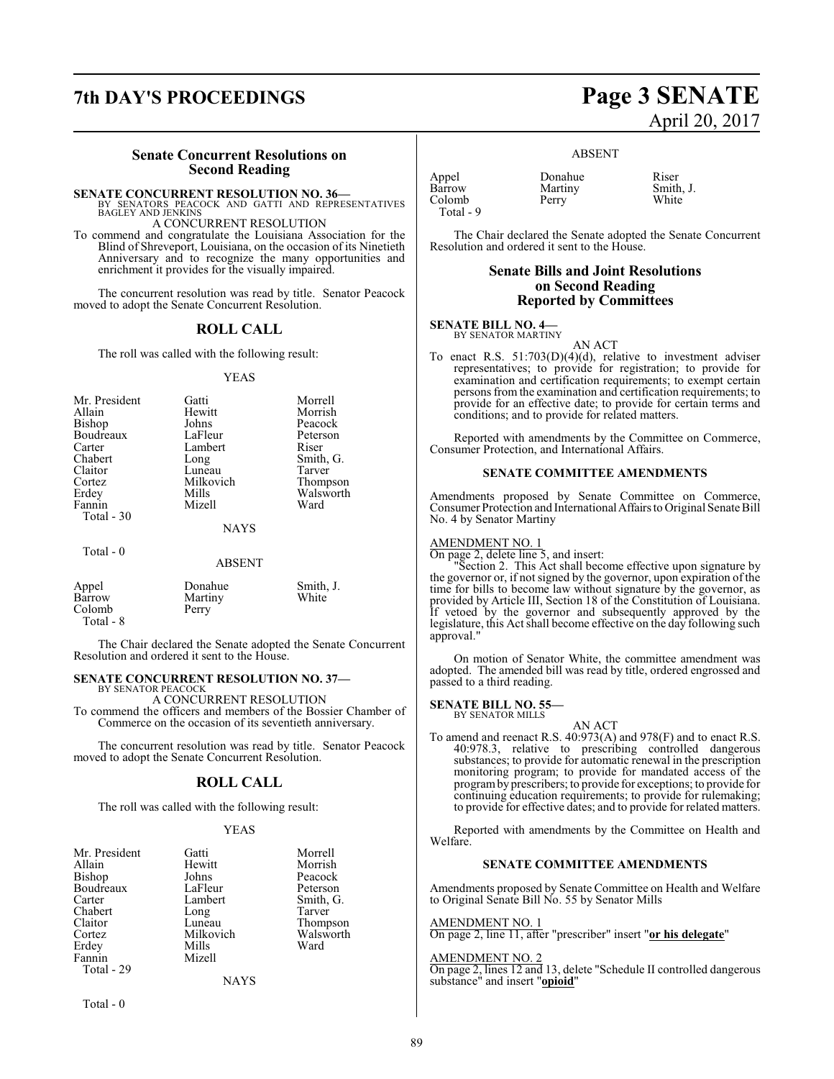# **7th DAY'S PROCEEDINGS Page 3 SENATE**

# **Senate Concurrent Resolutions on Second Reading**

**SENATE CONCURRENT RESOLUTION NO. 36—**<br>BY SENATORS PEACOCK AND GATTI AND REPRESENTATIVES<br>BAGLEY AND JENKINS

A CONCURRENT RESOLUTION

To commend and congratulate the Louisiana Association for the Blind of Shreveport, Louisiana, on the occasion of its Ninetieth Anniversary and to recognize the many opportunities and enrichment it provides for the visually impaired.

The concurrent resolution was read by title. Senator Peacock moved to adopt the Senate Concurrent Resolution.

# **ROLL CALL**

The roll was called with the following result:

### YEAS

| Mr. President<br>Allain<br>Bishop<br>Boudreaux<br>Carter<br>Chabert<br>Claitor<br>Cortez<br>Erdey<br>Fannin<br>Total - 30 | Gatti<br>Hewitt<br>Johns<br>LaFleur<br>Lambert<br>Long<br>Luneau<br>Milkovich<br>Mills<br>Mizell | Morrell<br>Morrish<br>Peacock<br>Peterson<br>Riser<br>Smith, G.<br>Tarver<br>Thompson<br>Walsworth<br>Ward |
|---------------------------------------------------------------------------------------------------------------------------|--------------------------------------------------------------------------------------------------|------------------------------------------------------------------------------------------------------------|
|                                                                                                                           | <b>NAYS</b>                                                                                      |                                                                                                            |
| Total - 0                                                                                                                 |                                                                                                  |                                                                                                            |

# ABSENT

| Appel<br>Barrow<br>Colomb<br>Total - 8 | Donahue<br>Martiny<br>Perry | Smith, J.<br>White |
|----------------------------------------|-----------------------------|--------------------|
|                                        |                             |                    |

The Chair declared the Senate adopted the Senate Concurrent Resolution and ordered it sent to the House.

# **SENATE CONCURRENT RESOLUTION NO. 37—**

BY SENATOR PEACOCK A CONCURRENT RESOLUTION

To commend the officers and members of the Bossier Chamber of Commerce on the occasion of its seventieth anniversary.

The concurrent resolution was read by title. Senator Peacock moved to adopt the Senate Concurrent Resolution.

# **ROLL CALL**

The roll was called with the following result:

# YEAS

| Mr. President | Gatti         | Morrell   |
|---------------|---------------|-----------|
| Allain        | Hewitt        | Morrish   |
| Bishop        | Johns         | Peacock   |
| Boudreaux     | LaFleur       | Peterson  |
| Carter        | Lambert       | Smith, G. |
| Chabert       | Long          | Tarver    |
| Claitor       | Luneau        | Thompson  |
| Cortez        | Milkovich     | Walsworth |
| Erdey         | Mills         | Ward      |
| Fannin        | Mizell        |           |
| Total - 29    |               |           |
|               | <b>BTATTO</b> |           |

NAYS

Total - 0

# April 20, 2017

# ABSENT

| Appel     | Donahue | Riser |
|-----------|---------|-------|
| Barrow    | Martiny | Smith |
| Colomb    | Perry   | White |
| Total - 9 |         |       |

Donahue Riser<br>Martiny Smith, J.

The Chair declared the Senate adopted the Senate Concurrent Resolution and ordered it sent to the House.

# **Senate Bills and Joint Resolutions on Second Reading Reported by Committees**

# **SENATE BILL NO. 4—**<br>BY SENATOR MARTINY

AN ACT

To enact R.S. 51:703(D)(4)(d), relative to investment adviser representatives; to provide for registration; to provide for examination and certification requirements; to exempt certain persons from the examination and certification requirements; to provide for an effective date; to provide for certain terms and conditions; and to provide for related matters.

Reported with amendments by the Committee on Commerce, Consumer Protection, and International Affairs.

# **SENATE COMMITTEE AMENDMENTS**

Amendments proposed by Senate Committee on Commerce, Consumer Protection and InternationalAffairs to Original Senate Bill No. 4 by Senator Martiny

# AMENDMENT NO. 1

On page 2, delete line 5, and insert:

Section 2. This Act shall become effective upon signature by the governor or, if not signed by the governor, upon expiration of the time for bills to become law without signature by the governor, as provided by Article III, Section 18 of the Constitution of Louisiana. If vetoed by the governor and subsequently approved by the legislature, this Act shall become effective on the day following such approval."

On motion of Senator White, the committee amendment was adopted. The amended bill was read by title, ordered engrossed and passed to a third reading.

### **SENATE BILL NO. 55—** BY SENATOR MILLS

AN ACT

To amend and reenact R.S. 40:973(A) and 978(F) and to enact R.S. 40:978.3, relative to prescribing controlled dangerous substances; to provide for automatic renewal in the prescription monitoring program; to provide for mandated access of the programby prescribers; to provide for exceptions; to provide for continuing education requirements; to provide for rulemaking; to provide for effective dates; and to provide for related matters.

Reported with amendments by the Committee on Health and Welfare.

# **SENATE COMMITTEE AMENDMENTS**

Amendments proposed by Senate Committee on Health and Welfare to Original Senate Bill No. 55 by Senator Mills

# AMENDMENT NO. 1

On page 2, line 11, after "prescriber" insert "**or his delegate**"

# AMENDMENT NO. 2

On page 2, lines 12 and 13, delete "Schedule II controlled dangerous substance" and insert "**opioid**"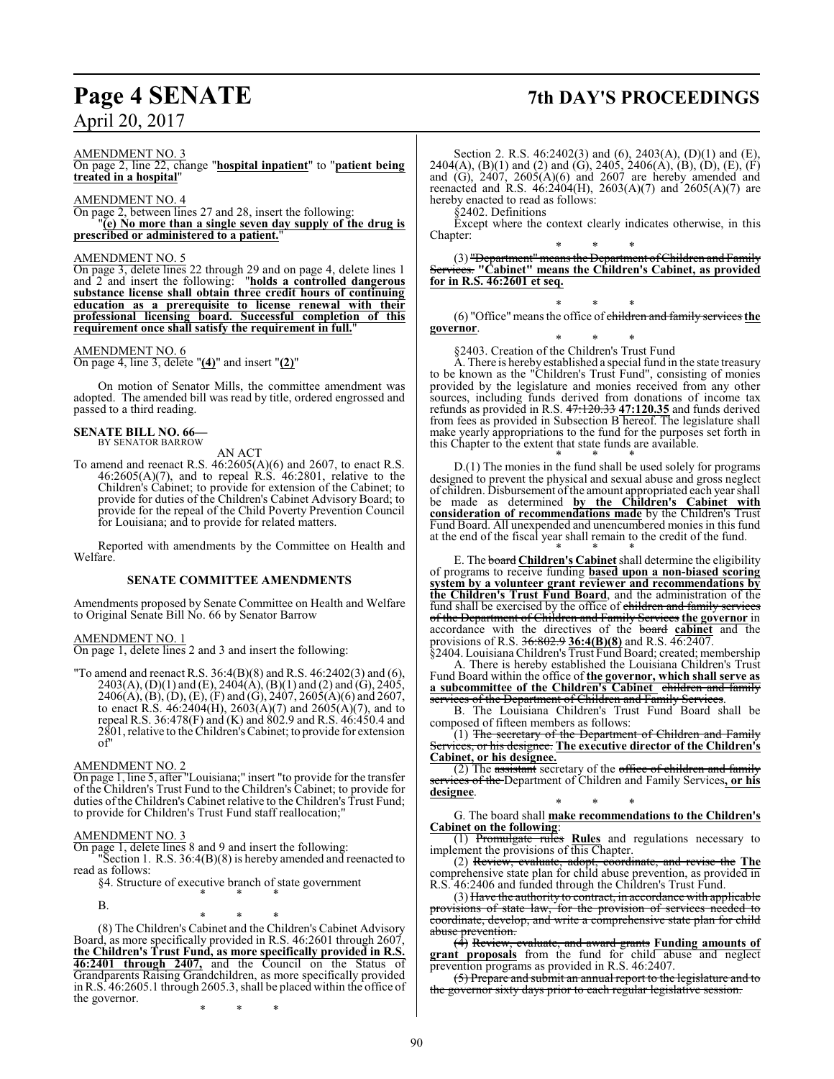# **Page 4 SENATE 7th DAY'S PROCEEDINGS**

AMENDMENT NO. 3

On page 2, line 22, change "**hospital inpatient**" to "**patient being treated in a hospital**"

AMENDMENT NO. 4 On page 2, between lines 27 and 28, insert the following: "**(e) No more than a single seven day supply of the drug is prescribed or administered to a patient.**"

# AMENDMENT NO. 5

On page 3, delete lines 22 through 29 and on page 4, delete lines 1 and 2 and insert the following: "**holds a controlled dangerous substance license shall obtain three credit hours of continuing education as a prerequisite to license renewal with their professional licensing board. Successful completion of this requirement once shall satisfy the requirement in full.**"

# AMENDMENT NO. 6

On page 4, line 3, delete "**(4)**" and insert "**(2)**"

On motion of Senator Mills, the committee amendment was adopted. The amended bill was read by title, ordered engrossed and passed to a third reading.

# **SENATE BILL NO. 66—** BY SENATOR BARROW

AN ACT

To amend and reenact R.S. 46:2605(A)(6) and 2607, to enact R.S. 46:2605(A)(7), and to repeal R.S. 46:2801, relative to the Children's Cabinet; to provide for extension of the Cabinet; to provide for duties of the Children's Cabinet Advisory Board; to provide for the repeal of the Child Poverty Prevention Council for Louisiana; and to provide for related matters.

Reported with amendments by the Committee on Health and Welfare.

# **SENATE COMMITTEE AMENDMENTS**

Amendments proposed by Senate Committee on Health and Welfare to Original Senate Bill No. 66 by Senator Barrow

AMENDMENT NO. 1

On page 1, delete lines 2 and 3 and insert the following:

"To amend and reenact R.S.  $36:4(B)(8)$  and R.S.  $46:2402(3)$  and  $(6)$ ,  $2403(A), (D)(1)$  and  $(E), 2404(A), (B)(1)$  and  $(2)$  and  $(G), 2405,$  $2406(A), (B), (D), (E), (F)$  and  $(G), 2407, 2605(A)(6)$  and  $2607,$ to enact R.S.  $46:2404(H)$ ,  $2603(A)(7)$  and  $2605(A)(7)$ , and to repeal R.S. 36:478(F) and (K) and 802.9 and R.S. 46:450.4 and 2801, relative to the Children's Cabinet; to provide for extension  $\alpha$ f

# AMENDMENT NO. 2

On page 1, line 5, after "Louisiana;" insert "to provide for the transfer of the Children's Trust Fund to the Children's Cabinet; to provide for duties of the Children's Cabinet relative to the Children's Trust Fund; to provide for Children's Trust Fund staff reallocation;

# AMENDMENT NO. 3

On page 1, delete lines 8 and 9 and insert the following:

"Section 1. R.S. 36:4(B)(8) is hereby amended and reenacted to read as follows:

\* \* \* (8) The Children's Cabinet and the Children's Cabinet Advisory Board, as more specifically provided in R.S. 46:2601 through 2607, **the Children's Trust Fund, as more specifically provided in R.S. 46:2401 through 2407,** and the Council on the Status of Grandparents Raising Grandchildren, as more specifically provided

§4. Structure of executive branch of state government \* \* \*

B.

the governor.

Section 2. R.S. 46:2402(3) and (6), 2403(A), (D)(1) and (E), 2404(A), (B)(1) and (2) and (G), 2405, 2406(A), (B), (D), (E), (F) and  $(G)$ , 2407, 2605 $(A)(6)$  and 2607 are hereby amended and reenacted and R.S.  $46:2404(H)$ ,  $2603(A)(7)$  and  $2605(A)(7)$  are hereby enacted to read as follows:

§2402. Definitions

Except where the context clearly indicates otherwise, in this Chapter:

\* \* \* (3) "Department" means the Department of Children and Family Services. **"Cabinet" means the Children's Cabinet, as provided for in R.S. 46:2601 et seq.**

\* \* \* (6) "Office"meansthe office of children and family services **the governor**.

\* \* \* §2403. Creation of the Children's Trust Fund

A. There is hereby established a special fund in the state treasury to be known as the "Children's Trust Fund", consisting of monies provided by the legislature and monies received from any other sources, including funds derived from donations of income tax refunds as provided in R.S. 47:120.33 **47:120.35** and funds derived from fees as provided in Subsection B hereof. The legislature shall make yearly appropriations to the fund for the purposes set forth in this Chapter to the extent that state funds are available.

\* \* \* D.(1) The monies in the fund shall be used solely for programs designed to prevent the physical and sexual abuse and gross neglect of children. Disbursement ofthe amount appropriated each year shall be made as determined **by the Children's Cabinet with consideration of recommendations made** by the Children's Trust Fund Board. All unexpended and unencumbered monies in this fund at the end of the fiscal year shall remain to the credit of the fund.

\* \* \* E. The board **Children's Cabinet**shall determine the eligibility of programs to receive funding **based upon a non-biased scoring system by a volunteer grant reviewer and recommendations by the Children's Trust Fund Board**, and the administration of the fund shall be exercised by the office of children and family services of the Department of Children and Family Services **the governor** in accordance with the directives of the board **cabinet** and the provisions of R.S. 36:802.9 **36:4(B)(8)** and R.S. 46:2407.

§2404. Louisiana Children's Trust Fund Board; created; membership A. There is hereby established the Louisiana Children's Trust Fund Board within the office of **the governor, which shall serve as a subcommittee of the Children's Cabinet** children and family services of the Department of Children and Family Services.

B. The Louisiana Children's Trust Fund Board shall be composed of fifteen members as follows:

(1) The secretary of the Department of Children and Family rices, or his designee. The executive director of the Children's **Cabinet, or his designee.**

(2) The assistant secretary of the office of children and family services of the Department of Children and Family Services**, or his designee**.

\* \* \* G. The board shall **make recommendations to the Children's Cabinet on the following**:

(1) Promulgate rules **Rules** and regulations necessary to implement the provisions of this Chapter.

(2) Review, evaluate, adopt, coordinate, and revise the **The** comprehensive state plan for child abuse prevention, as provided in R.S. 46:2406 and funded through the Children's Trust Fund.

(3) Have the authority to contract, in accordance with applicable provisions of state law, for the provision of services needed to coordinate, develop, and write a comprehensive state plan for child abuse prevention.

(4) Review, evaluate, and award grants **Funding amounts of grant proposals** from the fund for child abuse and neglect prevention programs as provided in R.S. 46:2407.

(5) Prepare and submit an annual report to the legislature and to the governor sixty days prior to each regular legislative session.

in R.S. 46:2605.1 through 2605.3, shall be placed within the office of \* \* \*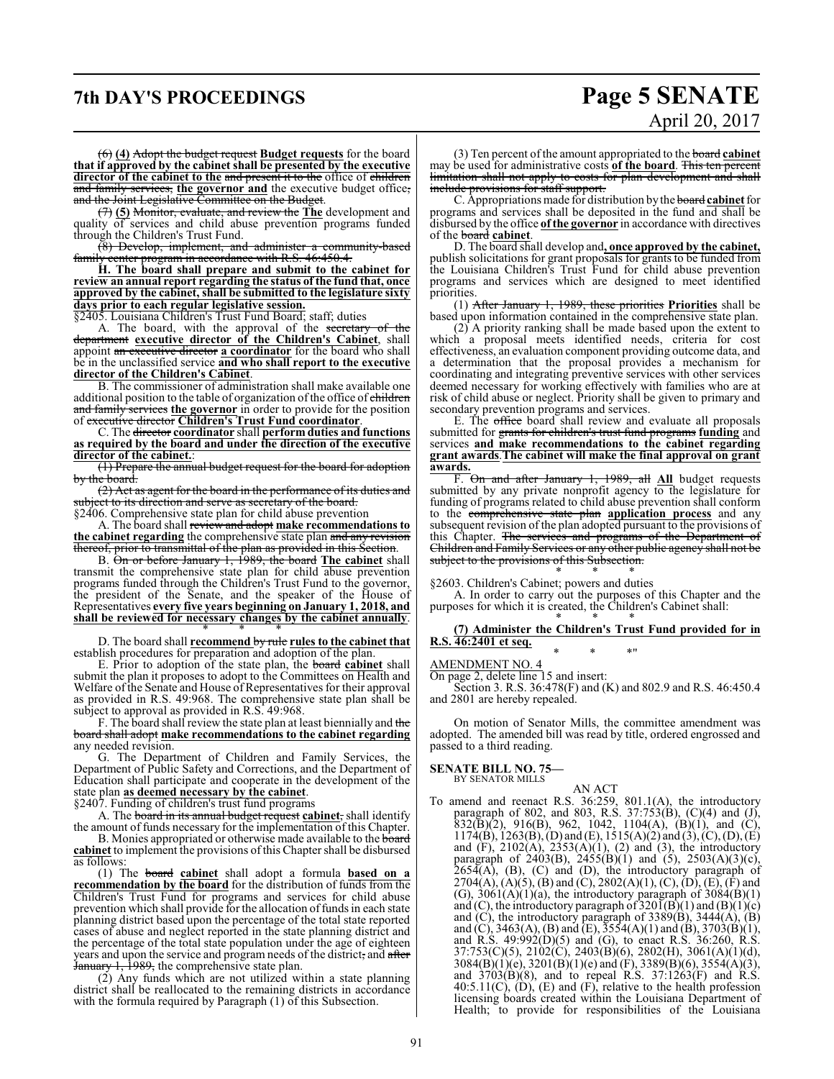# **7th DAY'S PROCEEDINGS Page 5 SENATE**

# April 20, 2017

(6) **(4)** Adopt the budget request **Budget requests** for the board **that if approved by the cabinet shall be presented by the executive director of the cabinet to the** and present it to the office of children and family services, the governor and the executive budget office, and the Joint Legislative Committee on the Budget.

(7) **(5)** Monitor, evaluate, and review the **The** development and quality of services and child abuse prevention programs funded through the Children's Trust Fund.

(8) Develop, implement, and administer a community-based family center program in accordance with R.S. 46:450.4.

**H. The board shall prepare and submit to the cabinet for review an annual report regarding the status of the fund that, once approved by the cabinet, shall be submitted to the legislature sixty days prior to each regular legislative session.**

§2405. Louisiana Children's Trust Fund Board; staff; duties

A. The board, with the approval of the secretary of the department **executive director of the Children's Cabinet**, shall appoint an executive director **a coordinator** for the board who shall be in the unclassified service **and who shall report to the executive director of the Children's Cabinet**.

B. The commissioner of administration shall make available one additional position to the table of organization of the office of children and family services **the governor** in order to provide for the position of executive director **Children's Trust Fund coordinator**.

C. The director **coordinator** shall **perform duties and functions as required by the board and under the direction of the executive director of the cabinet.**:

(1) Prepare the annual budget request for the board for adoption by the board.

(2) Act as agent for the board in the performance of its duties and subject to its direction and serve as secretary of the board.

§2406. Comprehensive state plan for child abuse prevention

A. The board shall review and adopt **make recommendationsto** the cabinet regarding the comprehensive state plan and any revision thereof, prior to transmittal of the plan as provided in this Section.

B. On or before January 1, 1989, the board **The cabinet** shall transmit the comprehensive state plan for child abuse prevention programs funded through the Children's Trust Fund to the governor, the president of the Senate, and the speaker of the House of Representatives **every five years beginning on January 1, 2018, and shall be reviewed for necessary changes by the cabinet annually**. \* \* \*

D. The board shall **recommend** by rule **rules to the cabinet that** establish procedures for preparation and adoption of the plan.

E. Prior to adoption of the state plan, the board **cabinet** shall submit the plan it proposes to adopt to the Committees on Health and Welfare of the Senate and House of Representatives for their approval as provided in R.S. 49:968. The comprehensive state plan shall be subject to approval as provided in R.S. 49:968.

F. The board shall review the state plan at least biennially and the board shall adopt **make recommendations to the cabinet regarding** any needed revision.

G. The Department of Children and Family Services, the Department of Public Safety and Corrections, and the Department of Education shall participate and cooperate in the development of the state plan **as deemed necessary by the cabinet**.

§2407. Funding of children's trust fund programs

A. The board in its annual budget request **cabinet**, shall identify the amount of funds necessary for the implementation of this Chapter.

B. Monies appropriated or otherwise made available to the board **cabinet** to implement the provisions ofthis Chapter shall be disbursed as follows:

(1) The board **cabinet** shall adopt a formula **based on a recommendation by the board** for the distribution of funds from the Children's Trust Fund for programs and services for child abuse prevention which shall provide for the allocation of funds in each state planning district based upon the percentage of the total state reported cases of abuse and neglect reported in the state planning district and the percentage of the total state population under the age of eighteen years and upon the service and program needs of the district, and after 1, 1989, the comprehensive state plan.

(2) Any funds which are not utilized within a state planning district shall be reallocated to the remaining districts in accordance with the formula required by Paragraph (1) of this Subsection.

(3) Ten percent of the amount appropriated to the board **cabinet** may be used for administrative costs **of the board**. This ten percent limitation shall not apply to costs for plan development and shall include provisions for staff support.

C. Appropriations made for distribution by the board **cabinet**for programs and services shall be deposited in the fund and shall be disbursed by the office **of the governor** in accordance with directives of the board **cabinet**.

D. The board shall develop and**, once approved by the cabinet,** publish solicitations for grant proposals for grants to be funded from the Louisiana Children's Trust Fund for child abuse prevention programs and services which are designed to meet identified priorities.

(1) After January 1, 1989, these priorities **Priorities** shall be based upon information contained in the comprehensive state plan.

(2) A priority ranking shall be made based upon the extent to which a proposal meets identified needs, criteria for cost effectiveness, an evaluation component providing outcome data, and a determination that the proposal provides a mechanism for coordinating and integrating preventive services with other services deemed necessary for working effectively with families who are at risk of child abuse or neglect. Priority shall be given to primary and secondary prevention programs and services.

E. The office board shall review and evaluate all proposals submitted for grants for children's trust fund programs **funding** and services **and make recommendations to the cabinet regarding grant awards**.**The cabinet will make the final approval on grant awards.**

F. On and after January 1, 1989, all **All** budget requests submitted by any private nonprofit agency to the legislature for funding of programs related to child abuse prevention shall conform to the comprehensive state plan **application process** and any subsequent revision of the plan adopted pursuant to the provisions of this Chapter. The services and programs of the Department of Children and Family Services or any other public agency shall not be subject to the provisions of this Subsection. \* \* \*

§2603. Children's Cabinet; powers and duties

A. In order to carry out the purposes of this Chapter and the purposes for which it is created, the Children's Cabinet shall:

## \* \* \* **(7) Administer the Children's Trust Fund provided for in R.S. 46:2401 et seq.** \* \* \*"

# AMENDMENT NO. 4

On page 2, delete line 15 and insert:

Section 3. R.S. 36:478(F) and (K) and 802.9 and R.S. 46:450.4 and 2801 are hereby repealed.

On motion of Senator Mills, the committee amendment was adopted. The amended bill was read by title, ordered engrossed and passed to a third reading.

## **SENATE BILL NO. 75—**

BY SENATOR MILLS

AN ACT To amend and reenact R.S. 36:259, 801.1(A), the introductory paragraph of 802, and 803, R.S. 37:753(B), (C)(4) and (J),  $832(\overline{B})(2)$ , 916(B), 962, 1042, 1104(A), (B)(1), and (C),  $1174(B)$ ,  $1263(B)$ , (D) and (E),  $1515(A)(2)$  and (3), (C), (D), (E) and  $(F)$ , 2102 $(A)$ , 2353 $(A)(1)$ ,  $(2)$  and  $(3)$ , the introductory paragraph of  $2403(B)$ ,  $2455(B)(1)$  and  $(5)$ ,  $2503(A)(3)(c)$ ,  $265\overline{4}$ (A), (B), (C) and (D), the introductory paragraph of 2704(A), (A)(5), (B) and (C), 2802(A)(1), (C), (D), (E), (F) and (G),  $3061(A)(1)(a)$ , the introductory paragraph of  $3084(B)(1)$ and (C), the introductory paragraph of  $320I(B)(1)$  and  $(B)(1)(c)$ and  $(C)$ , the introductory paragraph of 3389 $(B)$ , 3444 $(A)$ ,  $(B)$ and (C), 3463(A), (B) and (E),  $3554(A)(1)$  and (B), 3703(B)(1), and R.S. 49:992(D)(5) and (G), to enact R.S. 36:260, R.S. 37:753(C)(5), 2102(C), 2403(B)(6), 2802(H), 3061(A)(1)(d),  $3084(B)(1)(e)$ ,  $3201(B)(1)(e)$  and  $(F)$ ,  $3389(B)(6)$ ,  $3554(A)(3)$ , and 3703(B)(8), and to repeal R.S. 37:1263(F) and R.S.  $40:5.11(C)$ ,  $(D)$ ,  $(E)$  and  $(F)$ , relative to the health profession licensing boards created within the Louisiana Department of Health; to provide for responsibilities of the Louisiana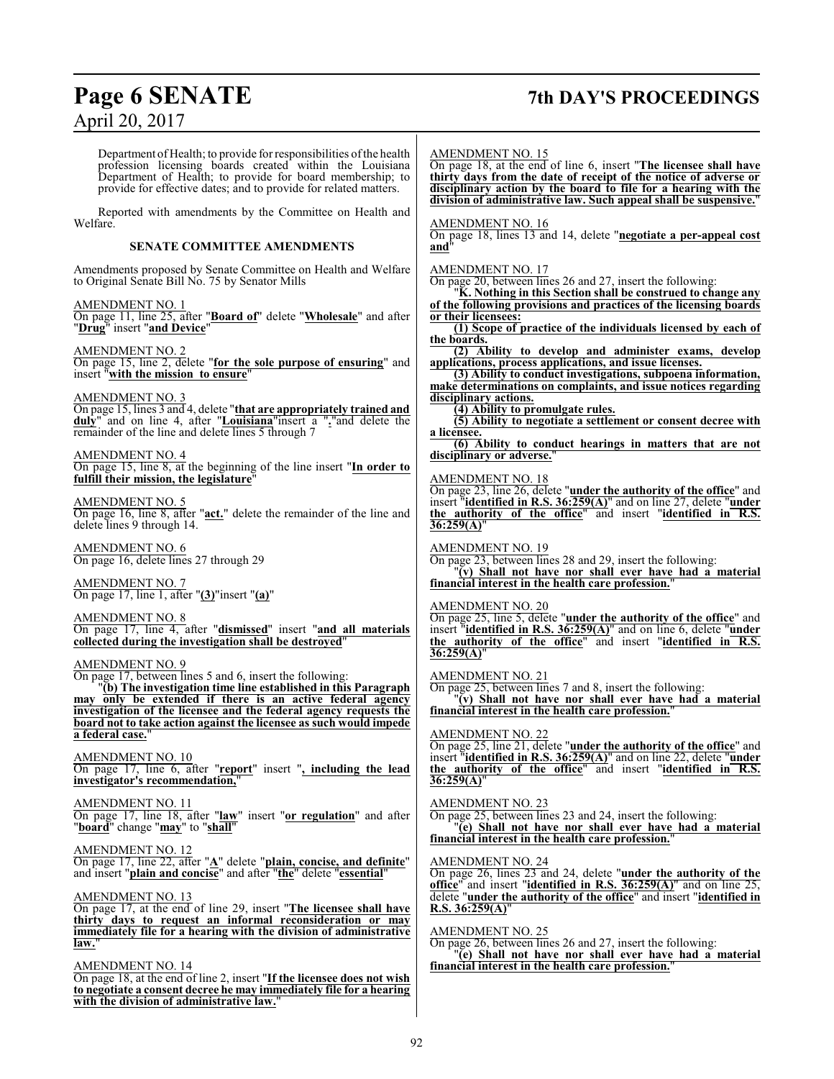# **Page 6 SENATE 7th DAY'S PROCEEDINGS**

Department of Health; to provide for responsibilities of the health profession licensing boards created within the Louisiana Department of Health; to provide for board membership; to provide for effective dates; and to provide for related matters. Reported with amendments by the Committee on Health and Welfare. **SENATE COMMITTEE AMENDMENTS** Amendments proposed by Senate Committee on Health and Welfare to Original Senate Bill No. 75 by Senator Mills AMENDMENT NO. 1 On page 11, line 25, after "**Board of**" delete "**Wholesale**" and after "**Drug**" insert "**and Device**" AMENDMENT NO. 2 On page 15, line 2, delete "**for the sole purpose of ensuring**" and insert "**with the mission to ensure**" AMENDMENT NO. 3 On page 15, lines 3 and 4, delete "**that are appropriately trained and duly**" and on line 4, after "**Louisiana**"insert a "**.**"and delete the remainder of the line and delete lines 5 through 7 AMENDMENT NO. 4 On page 15, line 8, at the beginning of the line insert "**In order to fulfill their mission, the legislature**" AMENDMENT NO. 5 On page 16, line 8, after "**act.**" delete the remainder of the line and delete lines 9 through 14. AMENDMENT NO. 6 On page 16, delete lines 27 through 29 AMENDMENT NO. 7 On page 17, line 1, after "**(3)**"insert "**(a)**" AMENDMENT NO. 8 On page 17, line 4, after "**dismissed**" insert "**and all materials collected during the investigation shall be destroyed**" AMENDMENT NO. 9 On page 17, between lines 5 and 6, insert the following: "**(b) The investigation time line established in this Paragraph may only be extended if there is an active federal agency investigation of the licensee and the federal agency requests the board not to take action against the licensee as such would impede a federal case.**" AMENDMENT NO. 10 On page 17, line 6, after "**report**" insert "**, including the lead investigator's recommendation,**" AMENDMENT NO. 11 On page 17, line 18, after "**law**" insert "**or regulation**" and after "**board**" change "**may**" to "**shall**" AMENDMENT NO. 12 On page 17, line 22, after "**A**" delete "**plain, concise, and definite**" and insert "**plain and concise**" and after "**the**" delete "**essential**" AMENDMENT NO. 13 On page 17, at the end of line 29, insert "**The licensee shall have thirty days to request an informal reconsideration or may immediately file for a hearing with the division of administrative** law. AMENDMENT NO. 14 On page 18, at the end of line 2, insert "**If the licensee does not wish to negotiate a consent decree he may immediately file for a hearing with the division of administrative law.**" AMENDMENT NO. 15 On page 18, at the end of line 6, insert "**The licensee shall have thirty days from the date of receipt of the notice of adverse or disciplinary action by the board to file for a hearing with the division of administrative law. Such appeal shall be suspensive.**" AMENDMENT NO. 16 On page 18, lines 13 and 14, delete "**negotiate a per-appeal cost and**" AMENDMENT NO. 17 On page 20, between lines 26 and 27, insert the following: "**K. Nothing in this Section shall be construed to change any of the following provisions and practices of the licensing boards or their licensees: (1) Scope of practice of the individuals licensed by each of the boards. (2) Ability to develop and administer exams, develop applications, process applications, and issue licenses. (3) Ability to conduct investigations, subpoena information, make determinations on complaints, and issue notices regarding disciplinary actions. (4) Ability to promulgate rules. (5) Ability to negotiate a settlement or consent decree with a licensee. (6) Ability to conduct hearings in matters that are not disciplinary or adverse.**" AMENDMENT NO. 18 On page 23, line 26, delete "**under the authority of the office**" and insert "**identified in R.S. 36:259(A)**" and on line 27, delete "**under the authority of the office**" and insert "**identified in R.S. 36:259(A)**" AMENDMENT NO. 19 On page 23, between lines 28 and 29, insert the following: "**(v) Shall not have nor shall ever have had a material financial interest in the health care profession.**" AMENDMENT NO. 20 On page 25, line 5, delete "**under the authority of the office**" and insert "**identified in R.S. 36:259(A)**" and on line 6, delete "**under the authority of the office**" and insert "**identified in R.S. 36:259(A)**" AMENDMENT NO. 21 On page 25, between lines 7 and 8, insert the following: "**(v) Shall not have nor shall ever have had a material financial interest in the health care profession.**" AMENDMENT NO. 22 On page 25, line 21, delete "**under the authority of the office**" and insert "**identified in R.S. 36:259(A)**" and on line 22, delete "**under the authority of the office**" and insert "**identified in R.S. 36:259(A)**" AMENDMENT NO. 23 On page 25, between lines 23 and 24, insert the following: "**(e) Shall not have nor shall ever have had a material financial interest in the health care profession.**" AMENDMENT NO. 24 On page 26, lines 23 and 24, delete "**under the authority of the office**" and insert "**identified in R.S. 36:259(A)**" and on line 25, delete "**under the authority of the office**" and insert "**identified in R.S. 36:259(A)**" AMENDMENT NO. 25 On page 26, between lines 26 and 27, insert the following: "**(e) Shall not have nor shall ever have had a material financial interest in the health care profession.**"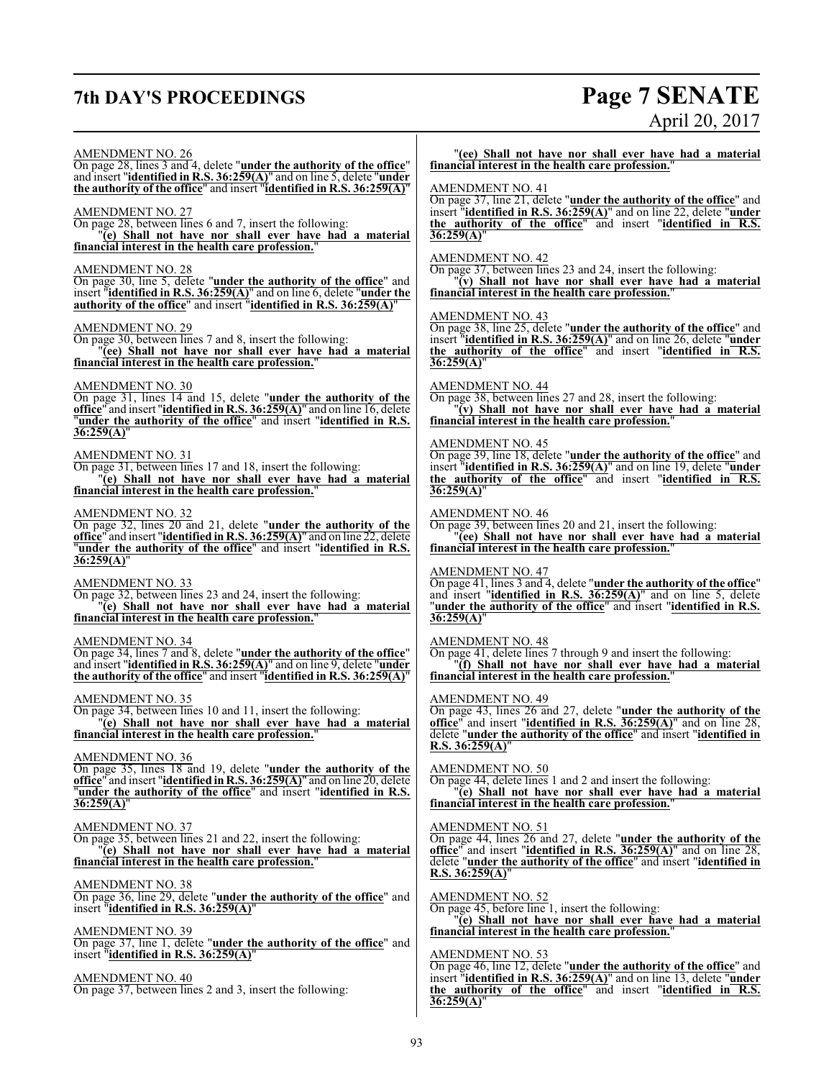# **7th DAY'S PROCEEDINGS Page 7 SENATE**

# April 20, 2017

AMENDMENT NO. 26 On page 28, lines 3 and 4, delete "**under the authority of the office**" and insert "**identified in R.S. 36:259(A)**" and on line 5, delete "**under the authority of the office**" and insert "**identified in R.S. 36:259(A)**" AMENDMENT NO. 27 On page 28, between lines 6 and 7, insert the following: "**(e) Shall not have nor shall ever have had a material financial interest in the health care profession.**" AMENDMENT NO. 28 On page 30, line 5, delete "**under the authority of the office**" and insert "**identified in R.S. 36:259(A)**" and on line 6, delete "**under the authority of the office**" and insert "**identified in R.S. 36:259(A)**" AMENDMENT NO. 29 On page 30, between lines 7 and 8, insert the following: "**(ee) Shall not have nor shall ever have had a material financial interest in the health care profession.**" AMENDMENT NO. 30 On page 31, lines 14 and 15, delete "**under the authority of the office**" and insert "**identified in R.S. 36:259(A)**" and on line 16, delete "**under the authority of the office**" and insert "**identified in R.S. 36:259(A)**" AMENDMENT NO. 31 On page 31, between lines 17 and 18, insert the following: "**(e) Shall not have nor shall ever have had a material financial interest in the health care profession.**" AMENDMENT NO. 32 On page 32, lines 20 and 21, delete "**under the authority of the office**" and insert "**identified in R.S. 36:259(A)**" and on line 22, delete "**under the authority of the office**" and insert "**identified in R.S. 36:259(A)**" AMENDMENT NO. 33 On page 32, between lines 23 and 24, insert the following: "**(e) Shall not have nor shall ever have had a material financial interest in the health care profession.**" AMENDMENT NO. 34 On page 34, lines 7 and 8, delete "**under the authority of the office**" and insert "**identified in R.S. 36:259(A)**" and on line 9, delete "**under the authority of the office**" and insert "**identified in R.S. 36:259(A)**" AMENDMENT NO. 35 On page 34, between lines 10 and 11, insert the following: "**(e) Shall not have nor shall ever have had a material financial interest in the health care profession.**" AMENDMENT NO. 36 On page 35, lines 18 and 19, delete "**under the authority of the office**" and insert "**identified in R.S. 36:259(A)**" and on line 20, delete "**under the authority of the office**" and insert "**identified in R.S. 36:259(A)**" AMENDMENT NO. 37 On page 35, between lines 21 and 22, insert the following: "**(e) Shall not have nor shall ever have had a material financial interest in the health care profession.**" AMENDMENT NO. 38 On page 36, line 29, delete "**under the authority of the office**" and insert "**identified in R.S. 36:259(A)**" AMENDMENT NO. 39 On page 37, line 1, delete "**under the authority of the office**" and insert "**identified in R.S. 36:259(A)**" AMENDMENT NO. 40 On page 37, between lines 2 and 3, insert the following: **36:259(A)**" **36:259(A)**" **36:259(A)**" **36:259(A)**" AMENDMENT NO. 49

"**(ee) Shall not have nor shall ever have had a material financial interest in the health care profession.**"

# AMENDMENT NO. 41

On page 37, line 21, delete "**under the authority of the office**" and insert "**identified in R.S. 36:259(A)**" and on line 22, delete "**under the authority of the office**" and insert "**identified in R.S.**

# AMENDMENT NO. 42

On page 37, between lines 23 and 24, insert the following: "**(v) Shall not have nor shall ever have had a material financial interest in the health care profession.**"

# AMENDMENT NO. 43

On page 38, line 25, delete "**under the authority of the office**" and insert "**identified in R.S. 36:259(A)**" and on line 26, delete "**under the authority of the office**" and insert "**identified in R.S.**

# AMENDMENT NO. 44

On page 38, between lines 27 and 28, insert the following: "**(v) Shall not have nor shall ever have had a material financial interest in the health care profession.**"

# AMENDMENT NO. 45

On page 39, line 18, delete "**under the authority of the office**" and insert "**identified in R.S. 36:259(A)**" and on line 19, delete "**under the authority of the office**" and insert "**identified in R.S.**

### AMENDMENT NO. 46

On page 39, between lines 20 and 21, insert the following: "**(ee) Shall not have nor shall ever have had a material financial interest in the health care profession.**"

# AMENDMENT NO. 47

On page 41, lines 3 and 4, delete "**under the authority of the office**" and insert "**identified in R.S. 36:259(A)**" and on line 5, delete "**under the authority of the office**" and insert "**identified in R.S.**

# AMENDMENT NO. 48

On page 41, delete lines 7 through 9 and insert the following: "**(f) Shall not have nor shall ever have had a material financial interest in the health care profession.**"

On page 43, lines 26 and 27, delete "**under the authority of the office**" and insert "**identified in R.S. 36:259(A)**" and on line 28, delete "**under the authority of the office**" and insert "**identified in R.S. 36:259(A)**"

# AMENDMENT NO. 50

On page 44, delete lines 1 and 2 and insert the following: "**(e) Shall not have nor shall ever have had a material**

# **financial interest in the health care profession.**"

# AMENDMENT NO. 51

On page 44, lines 26 and 27, delete "**under the authority of the office**" and insert "**identified in R.S. 36:259(A)**" and on line 28, delete "**under the authority of the office**" and insert "**identified in R.S. 36:259(A)**"

## AMENDMENT NO. 52

On page 45, before line 1, insert the following: "**(e) Shall not have nor shall ever have had a material financial interest in the health care profession.**"

# AMENDMENT NO. 53

On page 46, line 12, delete "**under the authority of the office**" and insert "**identified in R.S. 36:259(A)**" and on line 13, delete "**under the authority of the office**" and insert "**identified in R.S. 36:259(A)**"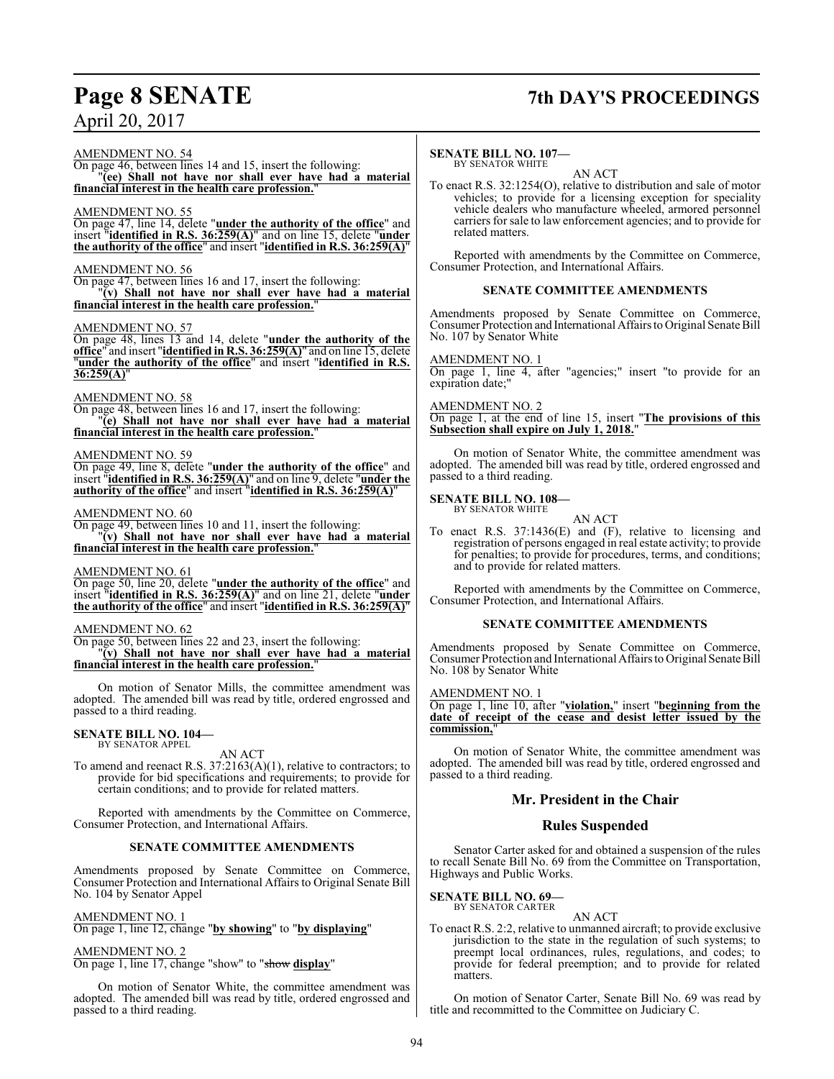# **Page 8 SENATE 7th DAY'S PROCEEDINGS**

AMENDMENT NO. 54

On page 46, between lines 14 and 15, insert the following: "**(ee) Shall not have nor shall ever have had a material financial interest in the health care profession.**"

# AMENDMENT NO. 55

On page 47, line 14, delete "**under the authority of the office**" and insert "**identified in R.S. 36:259(A)**" and on line 15, delete "**under the authority of the office**" and insert "**identified in R.S. 36:259(A)**"

# AMENDMENT NO. 56

On page 47, between lines 16 and 17, insert the following: "**(v) Shall not have nor shall ever have had a material financial interest in the health care profession.**"

# AMENDMENT NO. 57

On page 48, lines 13 and 14, delete "**under the authority of the office**" and insert "**identified in R.S. 36:259(A)**" and on line 15, delete "**under the authority of the office**" and insert "**identified in R.S. 36:259(A)**"

# AMENDMENT NO. 58

On page 48, between lines 16 and 17, insert the following: "**(e) Shall not have nor shall ever have had a material** financial interest in the health care profession.

# AMENDMENT NO. 59

On page 49, line 8, delete "**under the authority of the office**" and insert "**identified in R.S. 36:259(A)**" and on line 9, delete "**under the authority of the office**" and insert "**identified in R.S. 36:259(A)**"

# AMENDMENT NO. 60

On page 49, between lines 10 and 11, insert the following: "**(v) Shall not have nor shall ever have had a material financial interest in the health care profession.**"

# AMENDMENT NO. 61

On page 50, line 20, delete "**under the authority of the office**" and insert "**identified in R.S. 36:259(A)**" and on line 21, delete "**under the authority of the office**" and insert "**identified in R.S. 36:259(A)**"

# AMENDMENT NO. 62

On page 50, between lines 22 and 23, insert the following: "**(v) Shall not have nor shall ever have had a material financial interest in the health care profession.**"

On motion of Senator Mills, the committee amendment was adopted. The amended bill was read by title, ordered engrossed and passed to a third reading.

### **SENATE BILL NO. 104—** BY SENATOR APPEL

AN ACT

To amend and reenact R.S. 37:2163(A)(1), relative to contractors; to provide for bid specifications and requirements; to provide for certain conditions; and to provide for related matters.

Reported with amendments by the Committee on Commerce, Consumer Protection, and International Affairs.

# **SENATE COMMITTEE AMENDMENTS**

Amendments proposed by Senate Committee on Commerce, Consumer Protection and International Affairs to Original Senate Bill No. 104 by Senator Appel

# AMENDMENT NO. 1

On page 1, line 12, change "**by showing**" to "**by displaying**"

# AMENDMENT NO. 2

On page 1, line 17, change "show" to "show **display**"

On motion of Senator White, the committee amendment was adopted. The amended bill was read by title, ordered engrossed and passed to a third reading.

### **SENATE BILL NO. 107—** BY SENATOR WHITE

AN ACT

To enact R.S. 32:1254(O), relative to distribution and sale of motor vehicles; to provide for a licensing exception for speciality vehicle dealers who manufacture wheeled, armored personnel carriers for sale to law enforcement agencies; and to provide for related matters.

Reported with amendments by the Committee on Commerce, Consumer Protection, and International Affairs.

# **SENATE COMMITTEE AMENDMENTS**

Amendments proposed by Senate Committee on Commerce, Consumer Protection and International Affairs to Original Senate Bill No. 107 by Senator White

# AMENDMENT NO. 1

On page 1, line 4, after "agencies;" insert "to provide for an expiration date;"

# AMENDMENT NO. 2

On page 1, at the end of line 15, insert "**The provisions of this Subsection shall expire on July 1, 2018.**"

On motion of Senator White, the committee amendment was adopted. The amended bill was read by title, ordered engrossed and passed to a third reading.

### **SENATE BILL NO. 108—** BY SENATOR WHITE

AN ACT

To enact R.S. 37:1436(E) and (F), relative to licensing and registration of persons engaged in real estate activity; to provide for penalties; to provide for procedures, terms, and conditions; and to provide for related matters.

Reported with amendments by the Committee on Commerce, Consumer Protection, and International Affairs.

# **SENATE COMMITTEE AMENDMENTS**

Amendments proposed by Senate Committee on Commerce, Consumer Protection and International Affairs to Original Senate Bill No. 108 by Senator White

## AMENDMENT NO. 1

On page 1, line 10, after "**violation,**" insert "**beginning from the date of receipt of the cease and desist letter issued by the commission,**"

On motion of Senator White, the committee amendment was adopted. The amended bill was read by title, ordered engrossed and passed to a third reading.

# **Mr. President in the Chair**

# **Rules Suspended**

Senator Carter asked for and obtained a suspension of the rules to recall Senate Bill No. 69 from the Committee on Transportation, Highways and Public Works.

# **SENATE BILL NO. 69—**

BY SENATOR CARTER

AN ACT To enact R.S. 2:2, relative to unmanned aircraft; to provide exclusive jurisdiction to the state in the regulation of such systems; to preempt local ordinances, rules, regulations, and codes; to provide for federal preemption; and to provide for related matters.

On motion of Senator Carter, Senate Bill No. 69 was read by title and recommitted to the Committee on Judiciary C.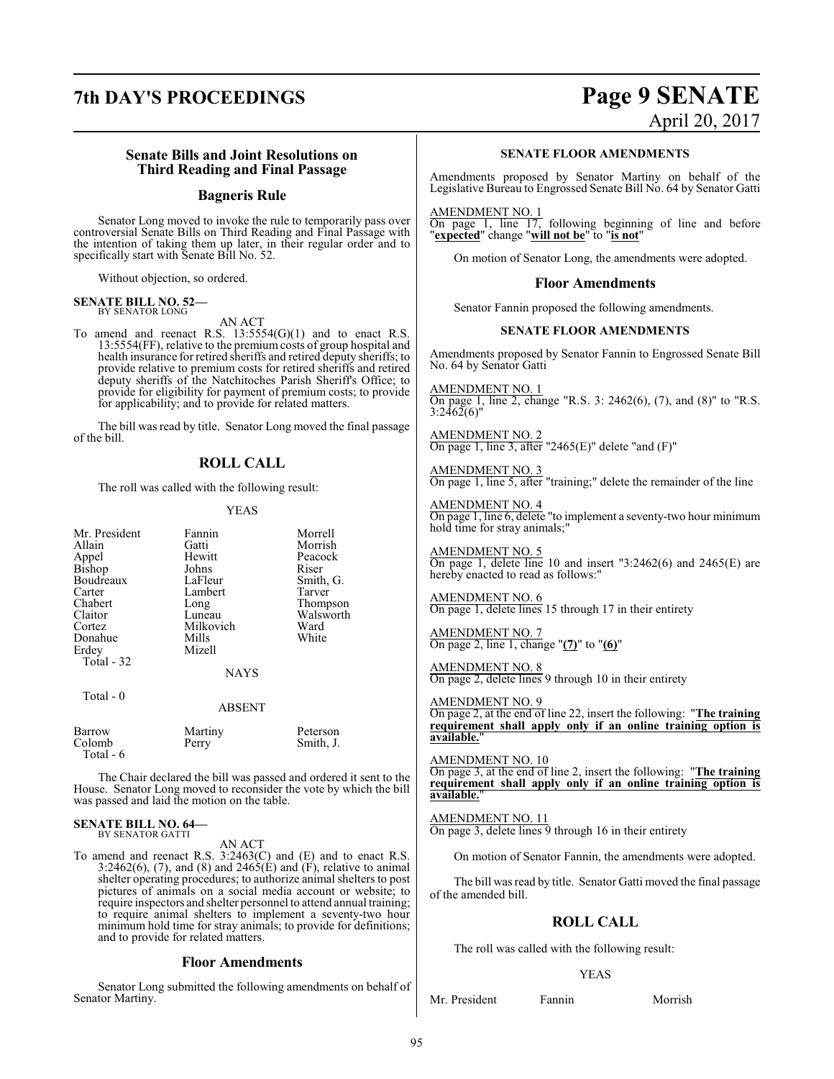# **7th DAY'S PROCEEDINGS Page 9 SENATE**

# April 20, 2017

# **Senate Bills and Joint Resolutions on Third Reading and Final Passage**

# **Bagneris Rule**

Senator Long moved to invoke the rule to temporarily pass over controversial Senate Bills on Third Reading and Final Passage with the intention of taking them up later, in their regular order and to specifically start with Senate Bill No. 52.

Without objection, so ordered.

### **SENATE BILL NO. 52—** BY SENATOR LONG

# AN ACT

To amend and reenact R.S.  $13:5554(G)(1)$  and to enact R.S. 13:5554(FF), relative to the premium costs of group hospital and health insurance for retired sheriffs and retired deputy sheriffs; to provide relative to premium costs for retired sheriffs and retired deputy sheriffs of the Natchitoches Parish Sheriff's Office; to provide for eligibility for payment of premium costs; to provide for applicability; and to provide for related matters.

The bill was read by title. Senator Long moved the final passage of the bill.

# **ROLL CALL**

The roll was called with the following result:

# YEAS

| Mr. President<br>Allain<br>Appel<br>Bishop<br>Boudreaux<br>Carter<br>Chabert<br>Claitor<br>Cortez<br>Donahue<br>Erdey | Fannin<br>Gatti<br>Hewitt<br>Johns<br>LaFleur<br>Lambert<br>Long<br>Luneau<br>Milkovich<br>Mills<br>Mizell | Morrell<br>Morrish<br>Peacock<br>Riser<br>Smith, G.<br>Tarver<br>Thompson<br>Walsworth<br>Ward<br>White |
|-----------------------------------------------------------------------------------------------------------------------|------------------------------------------------------------------------------------------------------------|---------------------------------------------------------------------------------------------------------|
| Total - 32                                                                                                            | <b>NAYS</b>                                                                                                |                                                                                                         |
| Total - 0                                                                                                             | <b>ABSENT</b>                                                                                              |                                                                                                         |
| Barrow<br>Colomb                                                                                                      | Martiny<br>Perry                                                                                           | Peterson<br>Smith, J.                                                                                   |

The Chair declared the bill was passed and ordered it sent to the House. Senator Long moved to reconsider the vote by which the bill was passed and laid the motion on the table.

### **SENATE BILL NO. 64—** BY SENATOR GATTI

Total - 6

AN ACT

To amend and reenact R.S. 3:2463(C) and (E) and to enact R.S. 3:2462(6), (7), and (8) and 2465( $\hat{E}$ ) and  $\hat{F}$ ), relative to animal shelter operating procedures; to authorize animal shelters to post pictures of animals on a social media account or website; to require inspectors and shelter personnel to attend annual training; to require animal shelters to implement a seventy-two hour minimum hold time for stray animals; to provide for definitions; and to provide for related matters.

# **Floor Amendments**

Senator Long submitted the following amendments on behalf of Senator Martiny.

# **SENATE FLOOR AMENDMENTS**

Amendments proposed by Senator Martiny on behalf of the Legislative Bureau to Engrossed Senate Bill No. 64 by Senator Gatti

AMENDMENT NO. 1

On page 1, line 17, following beginning of line and before "**expected**" change "**will not be**" to "**is not**"

On motion of Senator Long, the amendments were adopted.

# **Floor Amendments**

Senator Fannin proposed the following amendments.

# **SENATE FLOOR AMENDMENTS**

Amendments proposed by Senator Fannin to Engrossed Senate Bill No. 64 by Senator Gatti

AMENDMENT NO. 1 On page 1, line 2, change "R.S. 3: 2462(6), (7), and (8)" to "R.S.  $3:2462(6)$ "

AMENDMENT NO. 2 On page 1, line 3, after "2465(E)" delete "and  $(F)$ "

AMENDMENT NO. 3 On page 1, line 5, after "training;" delete the remainder of the line

AMENDMENT NO. 4 On page 1, line 6, delete "to implement a seventy-two hour minimum hold time for stray animals;"

AMENDMENT NO. 5 On page 1, delete line 10 and insert "3:2462(6) and 2465(E) are hereby enacted to read as follows:"

AMENDMENT NO. 6 On page 1, delete lines 15 through 17 in their entirety

AMENDMENT NO. 7 On page 2, line 1, change "**(7)**" to "**(6)**"

AMENDMENT NO. 8 On page 2, delete lines 9 through 10 in their entirety

# AMENDMENT NO. 9

On page 2, at the end of line 22, insert the following: "**The training requirement shall apply only if an online training option is available.**"

# AMENDMENT NO. 10

On page 3, at the end of line 2, insert the following: "**The training requirement shall apply only if an online training option is available.**"

# AMENDMENT NO. 11

On page 3, delete lines 9 through 16 in their entirety

On motion of Senator Fannin, the amendments were adopted.

The bill was read by title. Senator Gatti moved the final passage of the amended bill.

# **ROLL CALL**

The roll was called with the following result:

# YEAS

Mr. President Fannin Morrish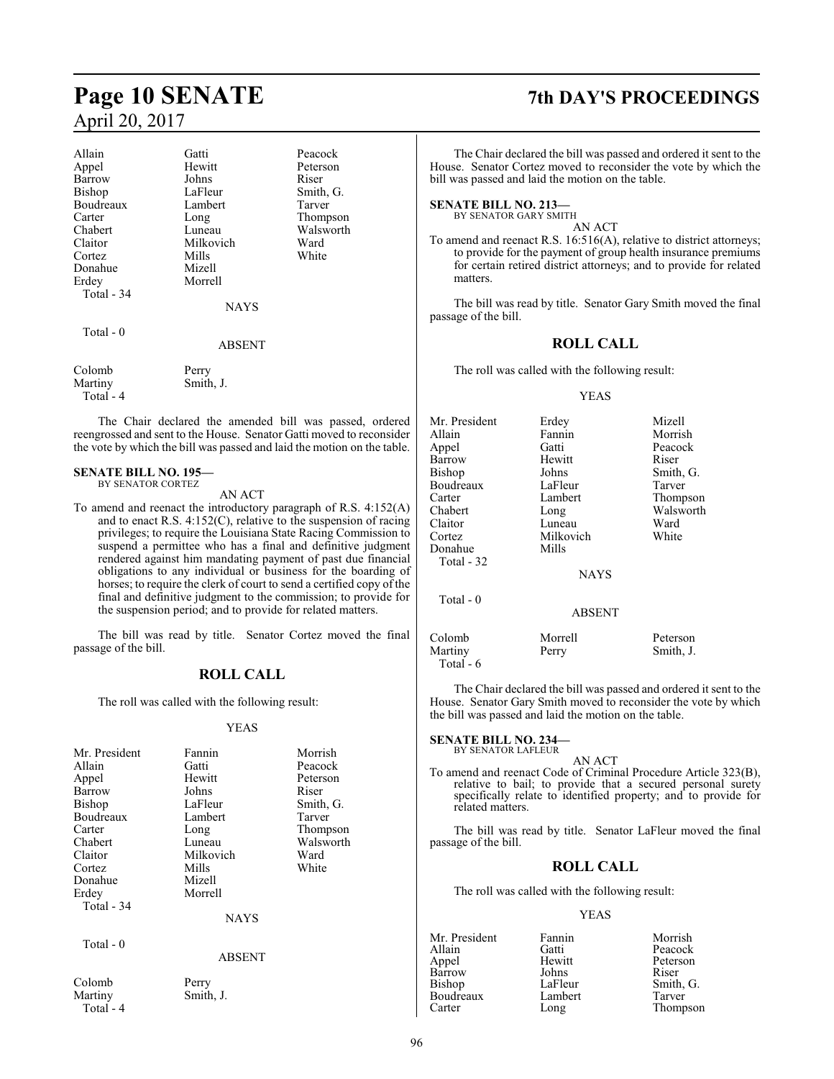| Allain     | Gatti         | Peacock   |
|------------|---------------|-----------|
| Appel      | Hewitt        | Peterson  |
| Barrow     | Johns         | Riser     |
| Bishop     | LaFleur       | Smith, G. |
| Boudreaux  | Lambert       | Tarver    |
| Carter     | Long          | Thompson  |
| Chabert    | Luneau        | Walsworth |
| Claitor    | Milkovich     | Ward      |
| Cortez     | Mills         | White     |
| Donahue    | Mizell        |           |
| Erdey      | Morrell       |           |
| Total - 34 |               |           |
|            | <b>NAYS</b>   |           |
| Total $-0$ |               |           |
|            | <b>ABSENT</b> |           |
| Colomb     | Perry         |           |

Colomb Perry Martiny Smith, J. Total - 4

The Chair declared the amended bill was passed, ordered reengrossed and sent to the House. Senator Gatti moved to reconsider the vote by which the bill was passed and laid the motion on the table.

# **SENATE BILL NO. 195—**

BY SENATOR CORTEZ

AN ACT

To amend and reenact the introductory paragraph of R.S. 4:152(A) and to enact R.S. 4:152(C), relative to the suspension of racing privileges; to require the Louisiana State Racing Commission to suspend a permittee who has a final and definitive judgment rendered against him mandating payment of past due financial obligations to any individual or business for the boarding of horses; to require the clerk of court to send a certified copy of the final and definitive judgment to the commission; to provide for the suspension period; and to provide for related matters.

The bill was read by title. Senator Cortez moved the final passage of the bill.

# **ROLL CALL**

The roll was called with the following result:

# YEAS

| Mr. President | Fannin<br>Morrish |           |
|---------------|-------------------|-----------|
| Allain        | Gatti             | Peacock   |
| Appel         | Hewitt            | Peterson  |
| Barrow        | Johns             | Riser     |
| <b>Bishop</b> | LaFleur           | Smith, G. |
| Boudreaux     | Lambert           | Tarver    |
| Carter        | Long              | Thompson  |
| Chabert       | Luneau            | Walsworth |
| Claitor       | Milkovich         | Ward      |
| Cortez        | Mills             | White     |
| Donahue       | Mizell            |           |
| Erdey         | Morrell           |           |
| Total - 34    |                   |           |
|               | <b>NAYS</b>       |           |
| Total $-0$    |                   |           |
|               | ABSENT            |           |
| Colomb        | Perry             |           |
| Martiny       | Smith, J.         |           |

Total - 4

# **Page 10 SENATE 7th DAY'S PROCEEDINGS**

The Chair declared the bill was passed and ordered it sent to the House. Senator Cortez moved to reconsider the vote by which the bill was passed and laid the motion on the table.

**SENATE BILL NO. 213—**

BY SENATOR GARY SMITH

AN ACT

To amend and reenact R.S. 16:516(A), relative to district attorneys; to provide for the payment of group health insurance premiums for certain retired district attorneys; and to provide for related matters.

The bill was read by title. Senator Gary Smith moved the final passage of the bill.

# **ROLL CALL**

The roll was called with the following result:

# YEAS

| Mr. President        | Erdey       | Mizell    |
|----------------------|-------------|-----------|
| Allain               | Fannin      | Morrish   |
| Appel                | Gatti       | Peacock   |
| <b>Barrow</b>        | Hewitt      | Riser     |
| Bishop               | Johns       | Smith, G. |
| Boudreaux            | LaFleur     | Tarver    |
| Carter               | Lambert     | Thompson  |
| Chabert              | Long        | Walsworth |
| Claitor              | Luneau      | Ward      |
| Cortez               | Milkovich   | White     |
| Donahue              | Mills       |           |
| Total - 32           |             |           |
|                      | <b>NAYS</b> |           |
| Total - 0            |             |           |
|                      | ABSENT      |           |
| Colomb               | Morrell     | Peterson  |
| Martiny<br>Total - 6 | Perry       | Smith, J. |

The Chair declared the bill was passed and ordered it sent to the House. Senator Gary Smith moved to reconsider the vote by which the bill was passed and laid the motion on the table.

### **SENATE BILL NO. 234—** BY SENATOR LAFLEUR

AN ACT

To amend and reenact Code of Criminal Procedure Article 323(B), relative to bail; to provide that a secured personal surety specifically relate to identified property; and to provide for related matters.

The bill was read by title. Senator LaFleur moved the final passage of the bill.

# **ROLL CALL**

The roll was called with the following result:

# YEAS

Mr. President Fannin Morrish<br>Allain Gatti Peacock Allain Gatti Peacock Hewitt Peterson<br>
Johns Riser Barrow Johns<br>Bishop LaFleur LaFleur Smith, G.<br>Lambert Tarver Boudreaux Lamb<br>Carter Long

Thompson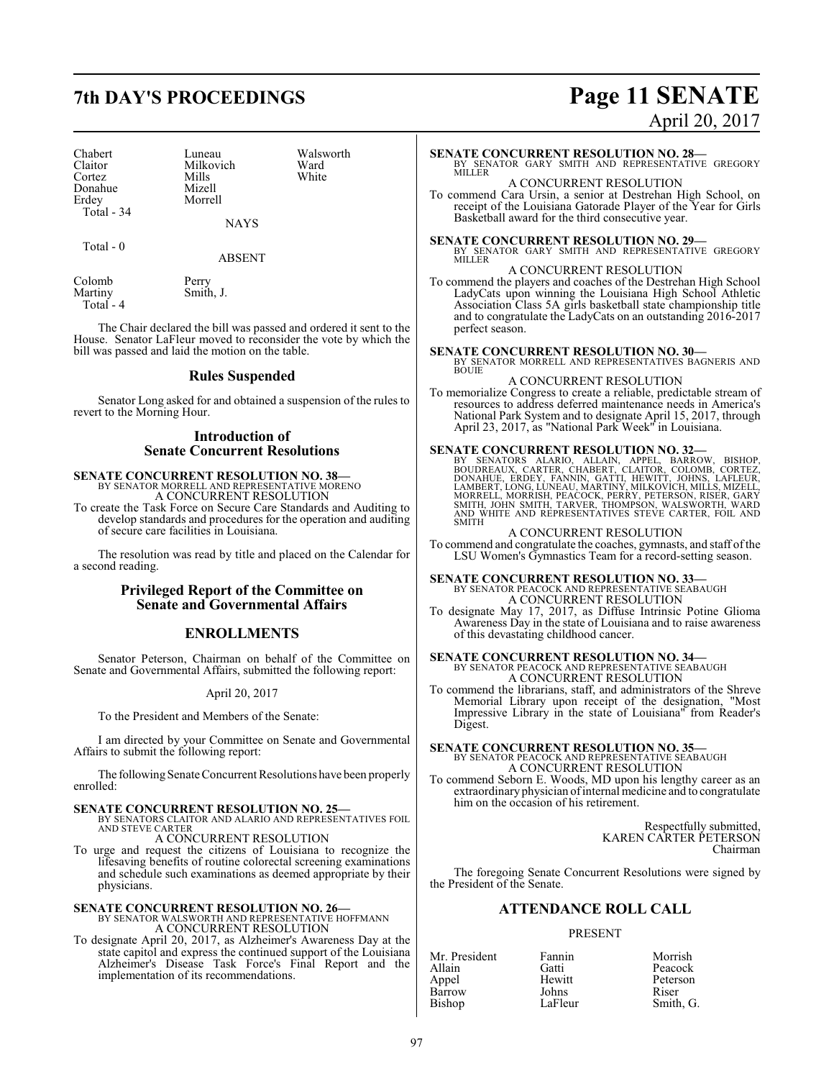| Chabert    | Luneau    | Walsy |
|------------|-----------|-------|
| Claitor    | Milkovich | Ward  |
| Cortez     | Mills     | White |
| Donahue    | Mizell    |       |
| Erdey      | Morrell   |       |
| Total - 34 |           |       |

Total - 0

Luneau Walsworth<br>
Milkovich Ward Milkovich Ward<br>
Mills White Mizell Morrell

ABSENT

Smith, J.

NAYS

Colomb Perry<br>Martiny Smith

Total - 4

The Chair declared the bill was passed and ordered it sent to the House. Senator LaFleur moved to reconsider the vote by which the bill was passed and laid the motion on the table.

# **Rules Suspended**

Senator Long asked for and obtained a suspension of the rules to revert to the Morning Hour.

# **Introduction of Senate Concurrent Resolutions**

**SENATE CONCURRENT RESOLUTION NO. 38—** BY SENATOR MORRELL AND REPRESENTATIVE MORENO

A CONCURRENT RESOLUTION

To create the Task Force on Secure Care Standards and Auditing to develop standards and procedures for the operation and auditing of secure care facilities in Louisiana.

The resolution was read by title and placed on the Calendar for a second reading.

# **Privileged Report of the Committee on Senate and Governmental Affairs**

# **ENROLLMENTS**

Senator Peterson, Chairman on behalf of the Committee on Senate and Governmental Affairs, submitted the following report:

# April 20, 2017

To the President and Members of the Senate:

I am directed by your Committee on Senate and Governmental Affairs to submit the following report:

The following Senate Concurrent Resolutions have been properly enrolled:

# **SENATE CONCURRENT RESOLUTION NO. 25—**

BY SENATORS CLAITOR AND ALARIO AND REPRESENTATIVES FOIL AND STEVE CARTER A CONCURRENT RESOLUTION

To urge and request the citizens of Louisiana to recognize the lifesaving benefits of routine colorectal screening examinations and schedule such examinations as deemed appropriate by their physicians.

# **SENATE CONCURRENT RESOLUTION NO. 26—** BY SENATOR WALSWORTH AND REPRESENTATIVE HOFFMANN A CONCURRENT RESOLUTION

To designate April 20, 2017, as Alzheimer's Awareness Day at the state capitol and express the continued support of the Louisiana Alzheimer's Disease Task Force's Final Report and the implementation of its recommendations.

# **7th DAY'S PROCEEDINGS Page 11 SENATE** April 20, 2017

# **SENATE CONCURRENT RESOLUTION NO. 28—** BY SENATOR GARY SMITH AND REPRESENTATIVE GREGORY MILLER A CONCURRENT RESOLUTION To commend Cara Ursin, a senior at Destrehan High School, on receipt of the Louisiana Gatorade Player of the Year for Girls Basketball award for the third consecutive year. **SENATE CONCURRENT RESOLUTION NO. 29—**<br>BY SENATOR GARY SMITH AND REPRESENTATIVE GREGORY<br>MILLER A CONCURRENT RESOLUTION To commend the players and coaches of the Destrehan High School LadyCats upon winning the Louisiana High School Athletic Association Class 5A girls basketball state championship title and to congratulate the LadyCats on an outstanding 2016-2017 perfect season. **SENATE CONCURRENT RESOLUTION NO. 30—** BY SENATOR MORRELL AND REPRESENTATIVES BAGNERIS AND **BOUIE** A CONCURRENT RESOLUTION To memorialize Congress to create a reliable, predictable stream of resources to address deferred maintenance needs in America's National Park System and to designate April 15, 2017, through April 23, 2017, as "National Park Week" in Louisiana. **SENATE CONCURRENT RESOLUTION NO. 32—**<br>BY SENATORS ALARIO, ALLAIN, APPEL, BARROW, BISHOP,<br>BOUDREAUX, CARTER, CHABERT, CLAITOR, COLOMB, CORTEZ,<br>DONAHUE, ERDEY, FANNIN, GATTI, HEWITT, JOHNS, LAFLEUR,<br>LAMBERT, LONG, LUNEAU, M A CONCURRENT RESOLUTION To commend and congratulate the coaches, gymnasts, and staff ofthe LSU Women's Gymnastics Team for a record-setting season. **SENATE CONCURRENT RESOLUTION NO. 33—**<br>BY SENATOR PEACOCK AND REPRESENTATIVE SEABAUGH A CONCURRENT RESOLUTION To designate May 17, 2017, as Diffuse Intrinsic Potine Glioma Awareness Day in the state of Louisiana and to raise awareness of this devastating childhood cancer. **SENATE CONCURRENT RESOLUTION NO. 34—** BY SENATOR PEACOCK AND REPRESENTATIVE SEABAUGH A CONCURRENT RESOLUTION To commend the librarians, staff, and administrators of the Shreve Memorial Library upon receipt of the designation, "Most Impressive Library in the state of Louisiana" from Reader's Digest. **SENATE CONCURRENT RESOLUTION NO. 35—** BY SENATOR PEACOCK AND REPRESENTATIVE SEABAUGH A CONCURRENT RESOLUTION To commend Seborn E. Woods, MD upon his lengthy career as an extraordinary physician ofinternal medicine and to congratulate him on the occasion of his retirement. Respectfully submitted, KAREN CARTER PETERSON Chairman The foregoing Senate Concurrent Resolutions were signed by the President of the Senate. **ATTENDANCE ROLL CALL** PRESENT Mr. President Fannin Morrish<br>Allain Gatti Peacock Allain Gatti Peacock Hewitt Peterson<br>Johns Riser

Barrow Johns<br>Bishop LaFleur

Smith, G.